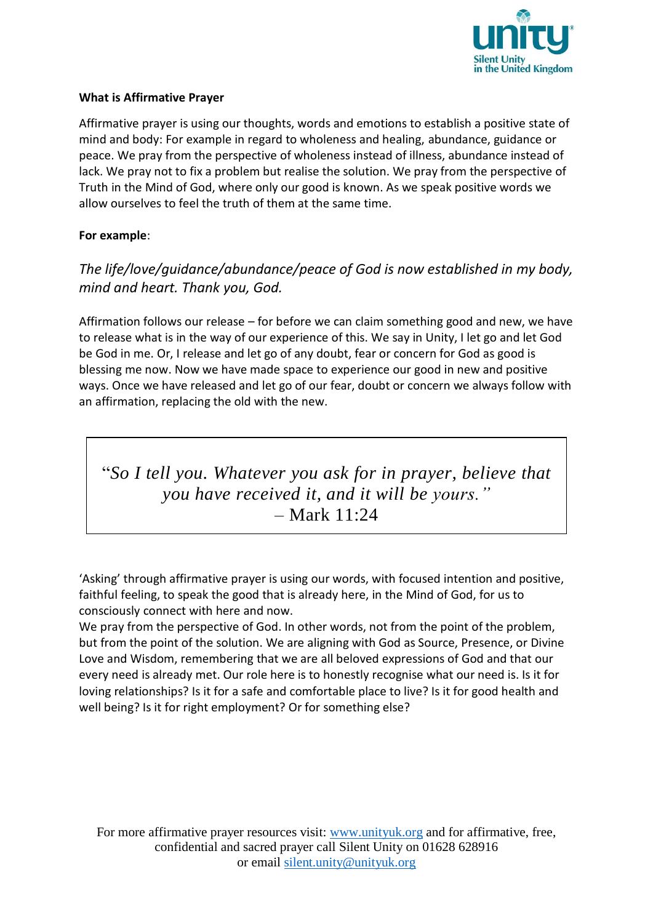

#### **What is Affirmative Prayer**

Affirmative prayer is using our thoughts, words and emotions to establish a positive state of mind and body: For example in regard to wholeness and healing, abundance, guidance or peace. We pray from the perspective of wholeness instead of illness, abundance instead of lack. We pray not to fix a problem but realise the solution. We pray from the perspective of Truth in the Mind of God, where only our good is known. As we speak positive words we allow ourselves to feel the truth of them at the same time.

### **For example**:

### *The life/love/guidance/abundance/peace of God is now established in my body, mind and heart. Thank you, God.*

Affirmation follows our release – for before we can claim something good and new, we have to release what is in the way of our experience of this. We say in Unity, I let go and let God be God in me. Or, I release and let go of any doubt, fear or concern for God as good is blessing me now. Now we have made space to experience our good in new and positive ways. Once we have released and let go of our fear, doubt or concern we always follow with an affirmation, replacing the old with the new.

# "*So I tell you. Whatever you ask for in prayer, believe that you have received it, and it will be yours."* – Mark 11:24

'Asking' through affirmative prayer is using our words, with focused intention and positive, faithful feeling, to speak the good that is already here, in the Mind of God, for us to consciously connect with here and now.

We pray from the perspective of God. In other words, not from the point of the problem, but from the point of the solution. We are aligning with God as Source, Presence, or Divine Love and Wisdom, remembering that we are all beloved expressions of God and that our every need is already met. Our role here is to honestly recognise what our need is. Is it for loving relationships? Is it for a safe and comfortable place to live? Is it for good health and well being? Is it for right employment? Or for something else?

For more affirmative prayer resources visit: [www.unityuk.org](http://www.unityuk.org/) and for affirmative, free, confidential and sacred prayer call Silent Unity on 01628 628916 or email [silent.unity@unityuk.org](mailto:silent.unity@unityuk.org)